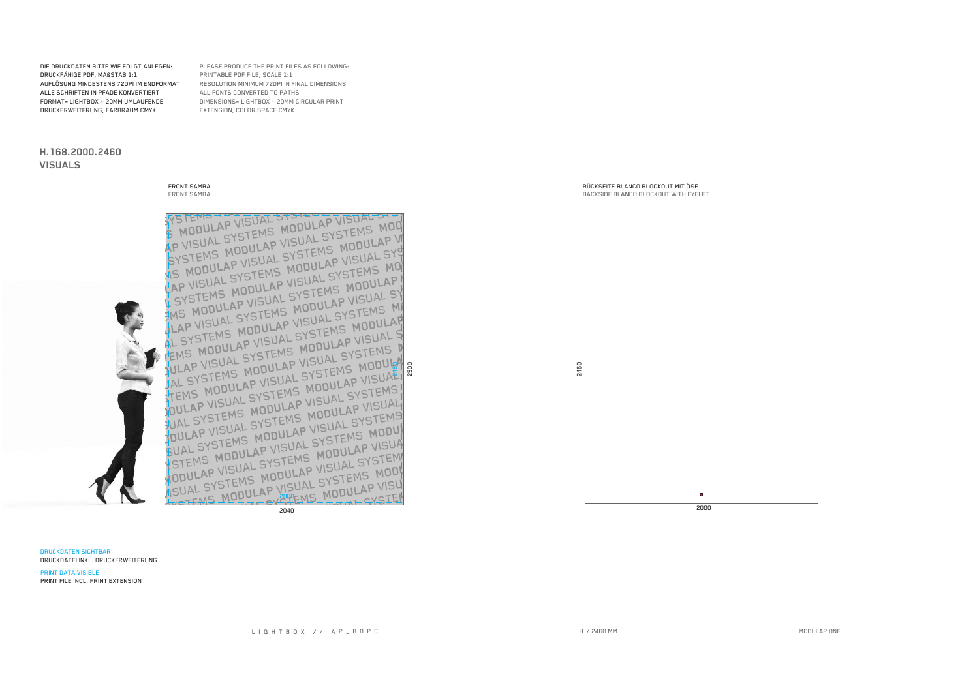**DRUCKDATEN SICHTBAR** DRUCKDATEI INKL. DRUCKERWEITERUNG

AP VISUAL SYSTEMS MODULAP VISUAL STO SYSTEMS MODULAP VISUAL SYSTEMS MOD VIS MODULAP VISUAL SYSTEMS MODULAP VI LAP VISUAL SYSTEMS MODULAP VISUAL SYS I SYSTEMS MODULAP VISUAL SYSTEMS MOT EMS MODULAP VISUAL SYSTEMS MODULAP JLAP VISUAL SYSTEMS MODULAP VISUAL SY AL SYSTEMS MODULAP VISUAL SYSTEMS MI TEMS MODULAP VISUAL SYSTEMS MODULAP JULAP VISUAL SYSTEMS MODULAP VISUAL S JAL SYSTEMS MODULAP VISUAL SYSTEMS N TEMS MODULAP VISUAL SYSTEMS MODULA FUAL SYSTEMS MODULAP VISUAL SYSTEMS POULAP VISUAL SYSTEMS MODULAP VISUAL SUAL SYSTEMS MODULAP VISUAL SYSTEMS YSTEMS MODULAP VISUAL SYSTEMS MODUL **NODULAP VISUAL SYSTEMS MODULAP VISUA** ISUAL SYSTEMS MODULAP VISUAL SYSTEM WOTEMS MODULAP VISUAL SYSTEMS MODI 2040

2460

 $\bullet$  $\overline{2000}$ 

DIE DRUCKDATEN BITTE WIE FOLGT ANLEGEN: DRUCKFÄHIGE PDF, MAßSTAB 1:1 AUFLÖSUNG MINDESTENS 72DPI IM ENDFORMAT ALLE SCHRIFTEN IN PFADE KONVERTIERT FORMAT= LIGHTBOX + 20MM UMLAUFENDE DRUCKERWEITERUNG, FARBRAUM CMYK

**FRONT SAMBA** 

FRONT SAMBA

H.168.2000.2460

**VISUALS** 

PLEASE PRODUCE THE PRINT FILES AS FOLLOWING: PRINTABLE PDF FILE, SCALE 1:1 RESOLUTION MINIMUM 72DPI IN FINAL DIMENSIONS ALL FONTS CONVERTED TO PATHS DIMENSIONS= LIGHTBOX + 20MM CIRCULAR PRINT EXTENSION, COLOR SPACE CMYK

> RÜCKSEITE BLANCO BLOCKOUT MIT ÖSE BACKSIDE BLANCO BLOCKOUT WITH EYELET

H / 2460 MM